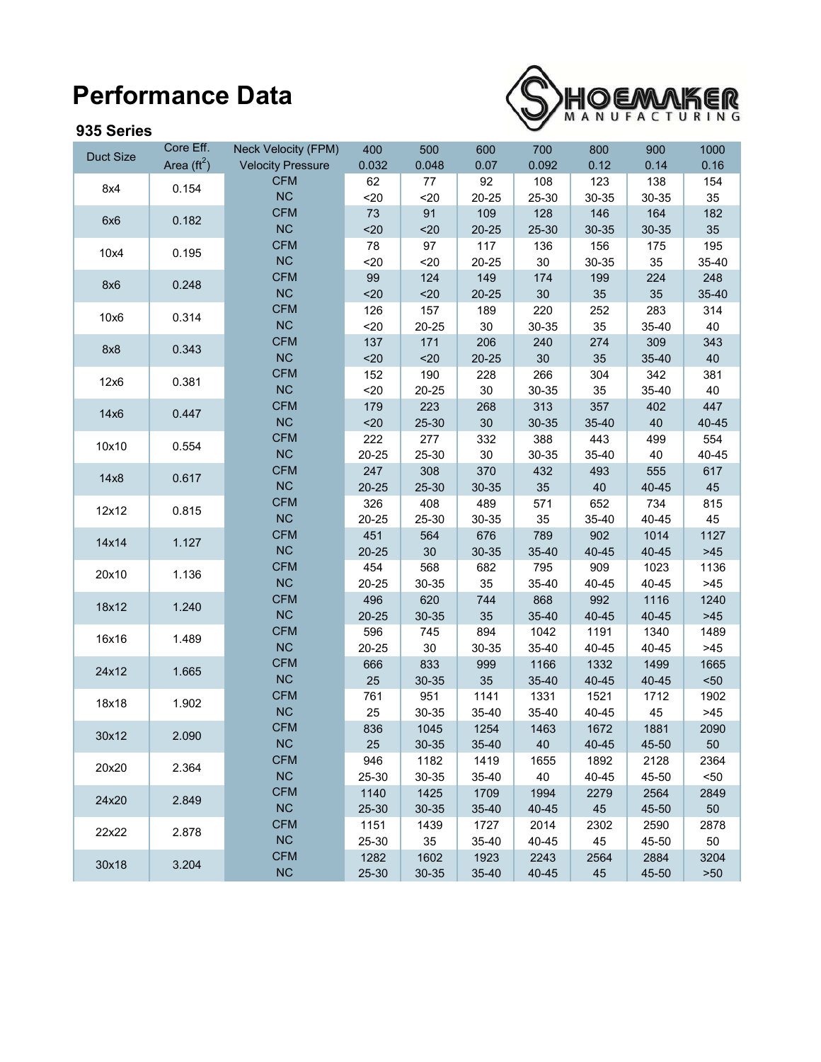## **Performance Data**



## **935 Series**

|                  | Core Eff.            | <b>Neck Velocity (FPM)</b> | 400          | 500           | 600           | 700           | 800           | 900           | 1000          |
|------------------|----------------------|----------------------------|--------------|---------------|---------------|---------------|---------------|---------------|---------------|
| <b>Duct Size</b> | Area $(\text{ft}^2)$ | <b>Velocity Pressure</b>   | 0.032        | 0.048         | 0.07          | 0.092         | 0.12          | 0.14          | 0.16          |
| 8x4              | 0.154                | <b>CFM</b>                 | 62           | 77            | 92            | 108           | 123           | 138           | 154           |
|                  |                      | <b>NC</b>                  | 20           | $20$          | 20-25         | 25-30         | 30-35         | 30-35         | 35            |
| 6x6              | 0.182                | <b>CFM</b>                 | 73           | 91            | 109           | 128           | 146           | 164           | 182           |
|                  |                      | <b>NC</b>                  | 20           | $20$          | $20 - 25$     | 25-30         | 30-35         | 30-35         | 35            |
| 10x4             | 0.195                | <b>CFM</b>                 | 78           | 97            | 117           | 136           | 156           | 175           | 195           |
|                  |                      | <b>NC</b>                  | 20           | $20$          | 20-25         | 30            | 30-35         | 35            | 35-40         |
| 8x6              | 0.248                | <b>CFM</b>                 | 99           | 124           | 149           | 174           | 199           | 224           | 248           |
|                  |                      | <b>NC</b>                  | $20$         | $20$          | $20 - 25$     | 30            | 35            | 35            | 35-40         |
| 10x6             | 0.314                | <b>CFM</b>                 | 126          | 157           | 189           | 220           | 252           | 283           | 314           |
|                  |                      | <b>NC</b>                  | $20$         | 20-25         | $30\,$        | 30-35         | 35            | 35-40         | 40            |
| 8x8              | 0.343                | <b>CFM</b>                 | 137          | 171           | 206           | 240           | 274           | 309           | 343           |
|                  |                      | <b>NC</b>                  | $20$         | $20$          | $20 - 25$     | 30            | 35            | 35-40         | 40            |
| 12x6             | 0.381                | <b>CFM</b>                 | 152          | 190           | 228           | 266           | 304           | 342           | 381           |
|                  |                      | <b>NC</b>                  | $20$         | 20-25         | 30            | 30-35         | 35            | 35-40         | 40            |
| 14x6             | 0.447                | <b>CFM</b>                 | 179          | 223           | 268           | 313           | 357           | 402           | 447           |
|                  |                      | <b>NC</b>                  | $20$         | 25-30         | 30            | 30-35         | 35-40         | 40            | 40-45         |
| 10x10            | 0.554                | <b>CFM</b>                 | 222          | 277           | 332           | 388           | 443           | 499           | 554           |
|                  |                      | <b>NC</b>                  | 20-25        | 25-30         | $30\,$        | 30-35         | 35-40         | 40            | 40-45         |
| 14x8             | 0.617                | <b>CFM</b>                 | 247          | 308           | 370           | 432           | 493           | 555           | 617           |
|                  |                      | <b>NC</b>                  | $20 - 25$    | 25-30         | 30-35         | 35            | 40            | 40-45         | 45            |
| 12x12            | 0.815                | <b>CFM</b>                 | 326          | 408           | 489           | 571           | 652           | 734           | 815           |
|                  |                      | <b>NC</b>                  | 20-25        | 25-30         | 30-35         | 35            | 35-40         | 40-45         | 45            |
| 14x14            | 1.127                | <b>CFM</b>                 | 451          | 564           | 676           | 789           | 902           | 1014          | 1127          |
|                  |                      | <b>NC</b>                  | $20 - 25$    | 30            | 30-35         | 35-40         | 40-45         | 40-45         | $>45$         |
| 20x10            | 1.136                | <b>CFM</b>                 | 454          | 568           | 682           | 795           | 909           | 1023          | 1136          |
|                  |                      | <b>NC</b>                  | 20-25        | 30-35         | 35            | 35-40         | 40-45         | 40-45         | $>45$         |
| 18x12            | 1.240                | <b>CFM</b><br><b>NC</b>    | 496          | 620           | 744           | 868           | 992           | 1116          | 1240          |
|                  |                      | <b>CFM</b>                 | $20 - 25$    | 30-35         | 35            | 35-40         | 40-45         | 40-45         | $>45$         |
| 16x16            | 1.489                | <b>NC</b>                  | 596          | 745           | 894           | 1042          | 1191          | 1340          | 1489          |
|                  |                      | <b>CFM</b>                 | 20-25        | $30\,$        | 30-35         | 35-40         | 40-45         | 40-45         | $>45$         |
| 24x12            | 1.665                | <b>NC</b>                  | 666<br>25    | 833           | 999<br>35     | 1166          | 1332          | 1499          | 1665          |
|                  |                      | <b>CFM</b>                 |              | 30-35         | 1141          | 35-40         | 40-45         | 40-45         | $50$          |
| 18x18            | 1.902                | NC                         | 761<br>25    | 951           | 35-40         | 1331<br>35-40 | 1521          | 1712          | 1902<br>$>45$ |
|                  |                      | <b>CFM</b>                 | 836          | 30-35<br>1045 | 1254          | 1463          | 40-45<br>1672 | 45<br>1881    | 2090          |
| 30x12            | 2.090                | <b>NC</b>                  |              |               |               |               |               |               |               |
|                  |                      | <b>CFM</b>                 | 25           | 30-35         | 35-40         | 40            | 40-45         | 45-50         | 50            |
| 20x20            | 2.364                | NC                         | 946<br>25-30 | 1182          | 1419<br>35-40 | 1655<br>40    | 1892          | 2128          | 2364<br>$50$  |
|                  |                      | <b>CFM</b>                 | 1140         | 30-35<br>1425 | 1709          | 1994          | 40-45<br>2279 | 45-50<br>2564 | 2849          |
| 24x20            | 2.849                | <b>NC</b>                  | 25-30        | 30-35         | 35-40         | 40-45         | 45            | 45-50         | 50            |
|                  |                      | <b>CFM</b>                 | 1151         | 1439          | 1727          | 2014          | 2302          | 2590          | 2878          |
| 22x22            | 2.878                | <b>NC</b>                  | 25-30        | 35            | 35-40         | 40-45         | 45            | 45-50         | 50            |
|                  |                      | <b>CFM</b>                 | 1282         | 1602          | 1923          | 2243          | 2564          | 2884          | 3204          |
| 30x18            | 3.204                | NC                         | 25-30        | 30-35         | 35-40         | $40 - 45$     | 45            | 45-50         | $>50$         |
|                  |                      |                            |              |               |               |               |               |               |               |